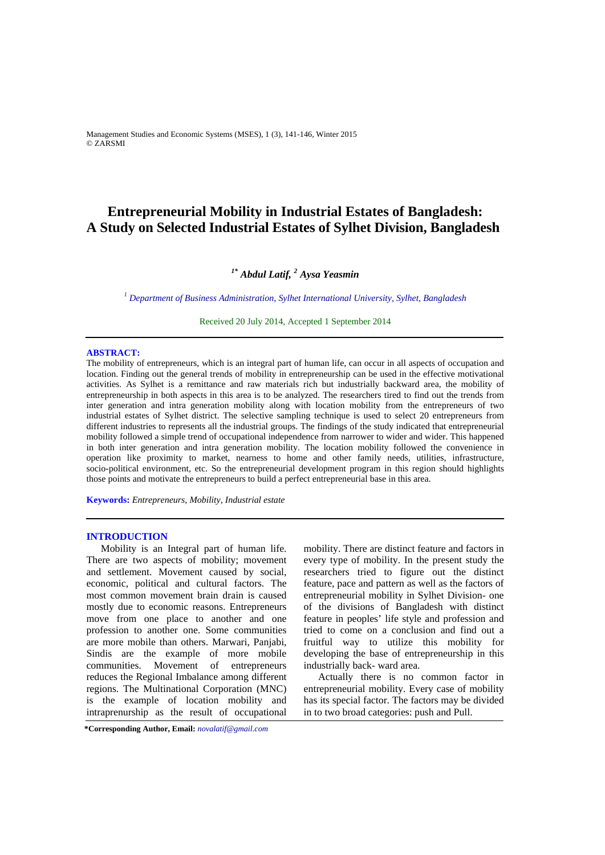Management Studies and Economic Systems (MSES), 1 (3), 141-146, Winter 2015 © ZARSMI

# **Entrepreneurial Mobility in Industrial Estates of Bangladesh: A Study on Selected Industrial Estates of Sylhet Division, Bangladesh**

# *1\* Abdul Latif, <sup>2</sup> Aysa Yeasmin*

*1 Department of Business Administration, Sylhet International University, Sylhet, Bangladesh*

Received 20 July 2014, Accepted 1 September 2014

## **ABSTRACT:**

The mobility of entrepreneurs, which is an integral part of human life, can occur in all aspects of occupation and location. Finding out the general trends of mobility in entrepreneurship can be used in the effective motivational activities. As Sylhet is a remittance and raw materials rich but industrially backward area, the mobility of entrepreneurship in both aspects in this area is to be analyzed. The researchers tired to find out the trends from inter generation and intra generation mobility along with location mobility from the entrepreneurs of two industrial estates of Sylhet district. The selective sampling technique is used to select 20 entrepreneurs from different industries to represents all the industrial groups. The findings of the study indicated that entrepreneurial mobility followed a simple trend of occupational independence from narrower to wider and wider. This happened in both inter generation and intra generation mobility. The location mobility followed the convenience in operation like proximity to market, nearness to home and other family needs, utilities, infrastructure, socio-political environment, etc. So the entrepreneurial development program in this region should highlights those points and motivate the entrepreneurs to build a perfect entrepreneurial base in this area.

**Keywords:** *Entrepreneurs, Mobility, Industrial estate*

# **INTRODUCTION**

Mobility is an Integral part of human life. There are two aspects of mobility; movement and settlement. Movement caused by social, economic, political and cultural factors. The most common movement brain drain is caused mostly due to economic reasons. Entrepreneurs move from one place to another and one profession to another one. Some communities are more mobile than others. Marwari, Panjabi, Sindis are the example of more mobile communities. Movement of entrepreneurs reduces the Regional Imbalance among different regions. The Multinational Corporation (MNC) is the example of location mobility and intraprenurship as the result of occupational

mobility. There are distinct feature and factors in every type of mobility. In the present study the researchers tried to figure out the distinct feature, pace and pattern as well as the factors of entrepreneurial mobility in Sylhet Division- one of the divisions of Bangladesh with distinct feature in peoples' life style and profession and tried to come on a conclusion and find out a fruitful way to utilize this mobility for developing the base of entrepreneurship in this industrially back- ward area.

Actually there is no common factor in entrepreneurial mobility. Every case of mobility has its special factor. The factors may be divided in to two broad categories: push and Pull.

**\*Corresponding Author, Email:** *novalatif@gmail.com*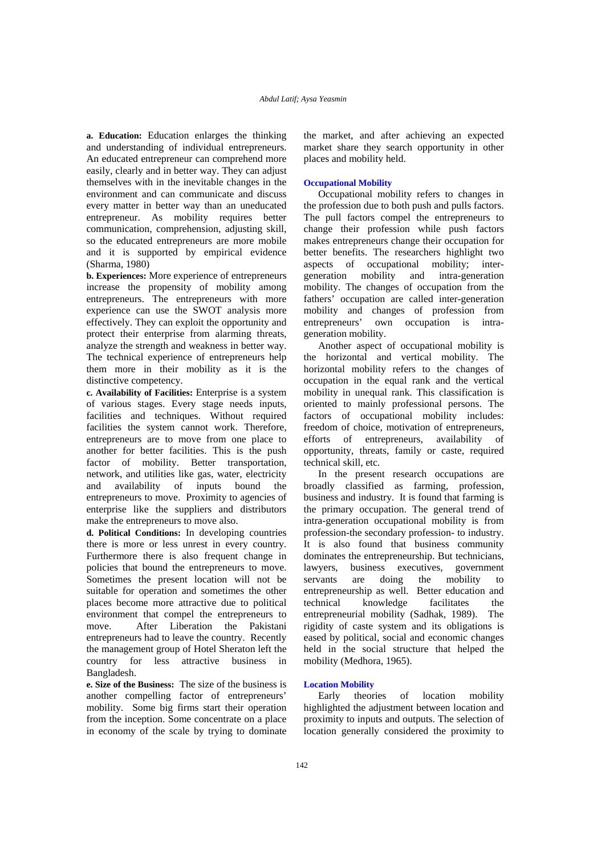**a. Education:** Education enlarges the thinking and understanding of individual entrepreneurs. An educated entrepreneur can comprehend more easily, clearly and in better way. They can adjust themselves with in the inevitable changes in the environment and can communicate and discuss every matter in better way than an uneducated entrepreneur. As mobility requires better communication, comprehension, adjusting skill, so the educated entrepreneurs are more mobile and it is supported by empirical evidence (Sharma, 1980)

**b. Experiences:** More experience of entrepreneurs increase the propensity of mobility among entrepreneurs. The entrepreneurs with more experience can use the SWOT analysis more effectively. They can exploit the opportunity and protect their enterprise from alarming threats, analyze the strength and weakness in better way. The technical experience of entrepreneurs help them more in their mobility as it is the distinctive competency.

**c. Availability of Facilities:** Enterprise is a system of various stages. Every stage needs inputs, facilities and techniques. Without required facilities the system cannot work. Therefore, entrepreneurs are to move from one place to another for better facilities. This is the push factor of mobility. Better transportation, network, and utilities like gas, water, electricity and availability of inputs bound the entrepreneurs to move. Proximity to agencies of enterprise like the suppliers and distributors make the entrepreneurs to move also.

**d. Political Conditions:** In developing countries there is more or less unrest in every country. Furthermore there is also frequent change in policies that bound the entrepreneurs to move. Sometimes the present location will not be suitable for operation and sometimes the other places become more attractive due to political environment that compel the entrepreneurs to move. After Liberation the Pakistani entrepreneurs had to leave the country. Recently the management group of Hotel Sheraton left the country for less attractive business in Bangladesh.

**e. Size of the Business:** The size of the business is another compelling factor of entrepreneurs' mobility. Some big firms start their operation from the inception. Some concentrate on a place in economy of the scale by trying to dominate the market, and after achieving an expected market share they search opportunity in other places and mobility held.

# **Occupational Mobility**

Occupational mobility refers to changes in the profession due to both push and pulls factors. The pull factors compel the entrepreneurs to change their profession while push factors makes entrepreneurs change their occupation for better benefits. The researchers highlight two aspects of occupational mobility; intergeneration mobility and intra-generation mobility. The changes of occupation from the fathers' occupation are called inter-generation mobility and changes of profession from entrepreneurs' own occupation is intrageneration mobility.

Another aspect of occupational mobility is the horizontal and vertical mobility. The horizontal mobility refers to the changes of occupation in the equal rank and the vertical mobility in unequal rank. This classification is oriented to mainly professional persons. The factors of occupational mobility includes: freedom of choice, motivation of entrepreneurs, efforts of entrepreneurs, availability of opportunity, threats, family or caste, required technical skill, etc.

In the present research occupations are broadly classified as farming, profession, business and industry. It is found that farming is the primary occupation. The general trend of intra-generation occupational mobility is from profession-the secondary profession- to industry. It is also found that business community dominates the entrepreneurship. But technicians, lawyers, business executives, government servants are doing the mobility to entrepreneurship as well. Better education and technical knowledge facilitates the entrepreneurial mobility (Sadhak, 1989). The rigidity of caste system and its obligations is eased by political, social and economic changes held in the social structure that helped the mobility (Medhora, 1965).

# **Location Mobility**

Early theories of location mobility highlighted the adjustment between location and proximity to inputs and outputs. The selection of location generally considered the proximity to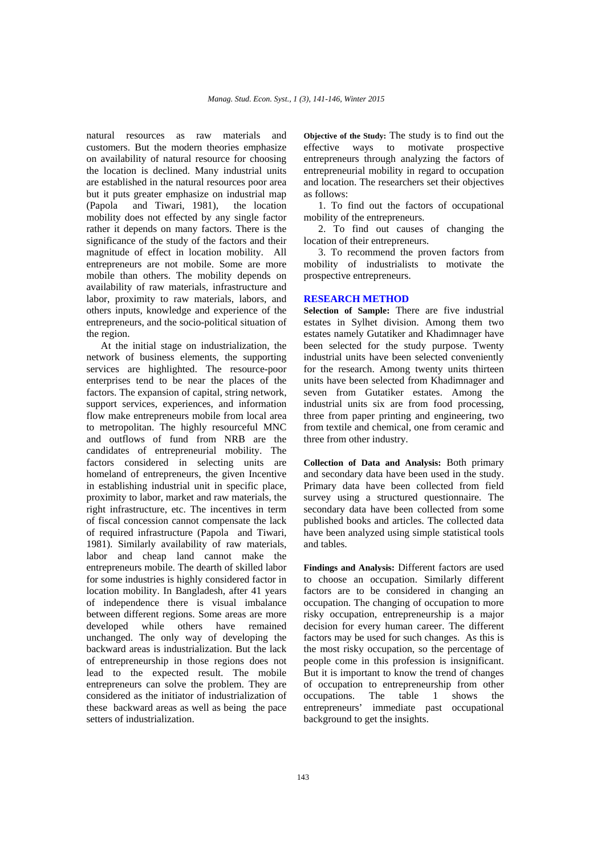natural resources as raw materials and customers. But the modern theories emphasize on availability of natural resource for choosing the location is declined. Many industrial units are established in the natural resources poor area but it puts greater emphasize on industrial map (Papola and Tiwari, 1981), the location mobility does not effected by any single factor rather it depends on many factors. There is the significance of the study of the factors and their magnitude of effect in location mobility. All entrepreneurs are not mobile. Some are more mobile than others. The mobility depends on availability of raw materials, infrastructure and labor, proximity to raw materials, labors, and others inputs, knowledge and experience of the entrepreneurs, and the socio-political situation of the region.

At the initial stage on industrialization, the network of business elements, the supporting services are highlighted. The resource-poor enterprises tend to be near the places of the factors. The expansion of capital, string network, support services, experiences, and information flow make entrepreneurs mobile from local area to metropolitan. The highly resourceful MNC and outflows of fund from NRB are the candidates of entrepreneurial mobility. The factors considered in selecting units are homeland of entrepreneurs, the given Incentive in establishing industrial unit in specific place, proximity to labor, market and raw materials, the right infrastructure, etc. The incentives in term of fiscal concession cannot compensate the lack of required infrastructure (Papola and Tiwari, 1981). Similarly availability of raw materials, labor and cheap land cannot make the entrepreneurs mobile. The dearth of skilled labor for some industries is highly considered factor in location mobility. In Bangladesh, after 41 years of independence there is visual imbalance between different regions. Some areas are more developed while others have remained unchanged. The only way of developing the backward areas is industrialization. But the lack of entrepreneurship in those regions does not lead to the expected result. The mobile entrepreneurs can solve the problem. They are considered as the initiator of industrialization of these backward areas as well as being the pace setters of industrialization.

**Objective of the Study:** The study is to find out the effective ways to motivate prospective entrepreneurs through analyzing the factors of entrepreneurial mobility in regard to occupation and location. The researchers set their objectives as follows:

1. To find out the factors of occupational mobility of the entrepreneurs.

2. To find out causes of changing the location of their entrepreneurs.

3. To recommend the proven factors from mobility of industrialists to motivate the prospective entrepreneurs.

### **RESEARCH METHOD**

**Selection of Sample:** There are five industrial estates in Sylhet division. Among them two estates namely Gutatiker and Khadimnager have been selected for the study purpose. Twenty industrial units have been selected conveniently for the research. Among twenty units thirteen units have been selected from Khadimnager and seven from Gutatiker estates. Among the industrial units six are from food processing, three from paper printing and engineering, two from textile and chemical, one from ceramic and three from other industry.

**Collection of Data and Analysis:** Both primary and secondary data have been used in the study. Primary data have been collected from field survey using a structured questionnaire. The secondary data have been collected from some published books and articles. The collected data have been analyzed using simple statistical tools and tables.

**Findings and Analysis:** Different factors are used to choose an occupation. Similarly different factors are to be considered in changing an occupation. The changing of occupation to more risky occupation, entrepreneurship is a major decision for every human career. The different factors may be used for such changes. As this is the most risky occupation, so the percentage of people come in this profession is insignificant. But it is important to know the trend of changes of occupation to entrepreneurship from other occupations. The table 1 shows the entrepreneurs' immediate past occupational background to get the insights.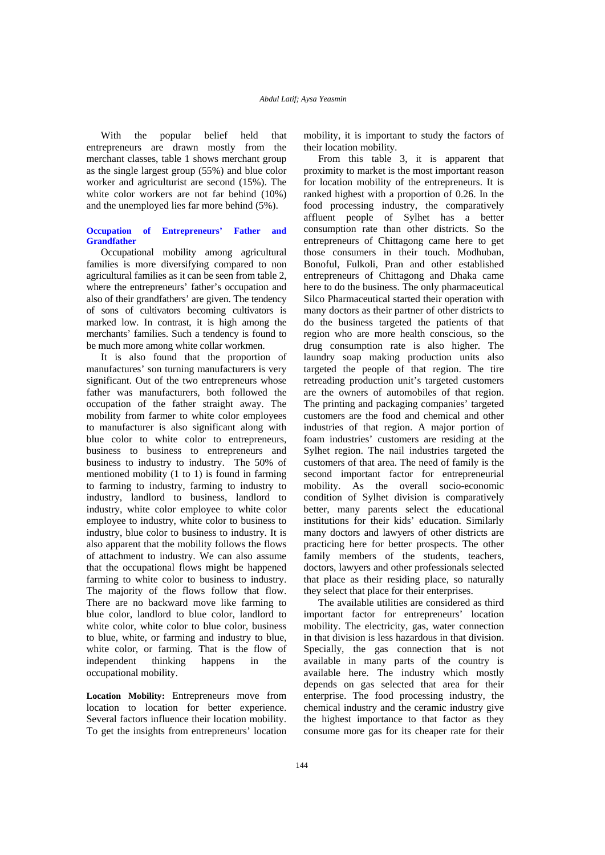With the popular belief held that entrepreneurs are drawn mostly from the merchant classes, table 1 shows merchant group as the single largest group (55%) and blue color worker and agriculturist are second (15%). The white color workers are not far behind (10%) and the unemployed lies far more behind (5%).

# **Occupation of Entrepreneurs' Father and Grandfather**

Occupational mobility among agricultural families is more diversifying compared to non agricultural families as it can be seen from table 2, where the entrepreneurs' father's occupation and also of their grandfathers' are given. The tendency of sons of cultivators becoming cultivators is marked low. In contrast, it is high among the merchants' families. Such a tendency is found to be much more among white collar workmen.

It is also found that the proportion of manufactures' son turning manufacturers is very significant. Out of the two entrepreneurs whose father was manufacturers, both followed the occupation of the father straight away. The mobility from farmer to white color employees to manufacturer is also significant along with blue color to white color to entrepreneurs, business to business to entrepreneurs and business to industry to industry. The 50% of mentioned mobility (1 to 1) is found in farming to farming to industry, farming to industry to industry, landlord to business, landlord to industry, white color employee to white color employee to industry, white color to business to industry, blue color to business to industry. It is also apparent that the mobility follows the flows of attachment to industry. We can also assume that the occupational flows might be happened farming to white color to business to industry. The majority of the flows follow that flow. There are no backward move like farming to blue color, landlord to blue color, landlord to white color, white color to blue color, business to blue, white, or farming and industry to blue, white color, or farming. That is the flow of independent thinking happens in the occupational mobility.

**Location Mobility:** Entrepreneurs move from location to location for better experience. Several factors influence their location mobility. To get the insights from entrepreneurs' location mobility, it is important to study the factors of their location mobility.

From this table 3, it is apparent that proximity to market is the most important reason for location mobility of the entrepreneurs. It is ranked highest with a proportion of 0.26. In the food processing industry, the comparatively affluent people of Sylhet has a better consumption rate than other districts. So the entrepreneurs of Chittagong came here to get those consumers in their touch. Modhuban, Bonoful, Fulkoli, Pran and other established entrepreneurs of Chittagong and Dhaka came here to do the business. The only pharmaceutical Silco Pharmaceutical started their operation with many doctors as their partner of other districts to do the business targeted the patients of that region who are more health conscious, so the drug consumption rate is also higher. The laundry soap making production units also targeted the people of that region. The tire retreading production unit's targeted customers are the owners of automobiles of that region. The printing and packaging companies' targeted customers are the food and chemical and other industries of that region. A major portion of foam industries' customers are residing at the Sylhet region. The nail industries targeted the customers of that area. The need of family is the second important factor for entrepreneurial mobility. As the overall socio-economic condition of Sylhet division is comparatively better, many parents select the educational institutions for their kids' education. Similarly many doctors and lawyers of other districts are practicing here for better prospects. The other family members of the students, teachers, doctors, lawyers and other professionals selected that place as their residing place, so naturally they select that place for their enterprises.

The available utilities are considered as third important factor for entrepreneurs' location mobility. The electricity, gas, water connection in that division is less hazardous in that division. Specially, the gas connection that is not available in many parts of the country is available here. The industry which mostly depends on gas selected that area for their enterprise. The food processing industry, the chemical industry and the ceramic industry give the highest importance to that factor as they consume more gas for its cheaper rate for their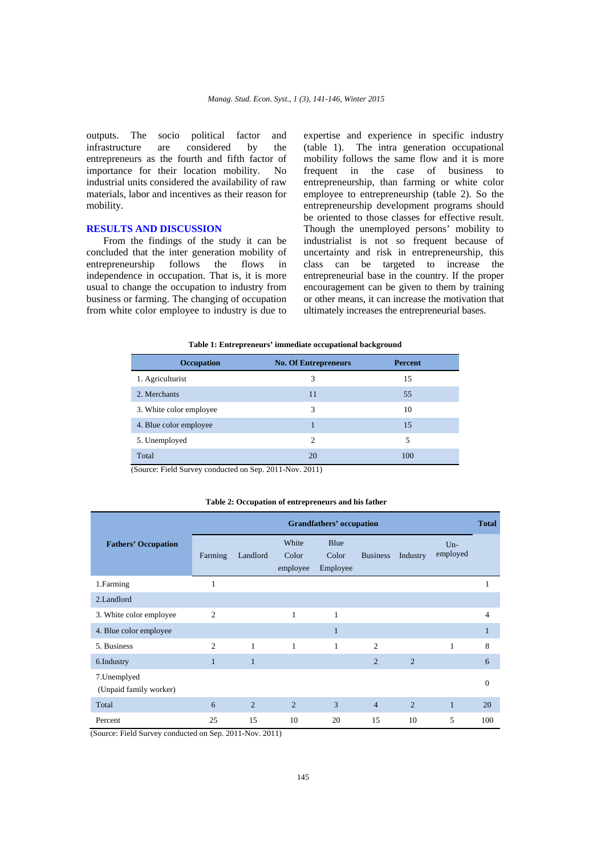outputs. The socio political factor and infrastructure are considered by the entrepreneurs as the fourth and fifth factor of importance for their location mobility. No industrial units considered the availability of raw materials, labor and incentives as their reason for mobility.

# **RESULTS AND DISCUSSION**

 From the findings of the study it can be concluded that the inter generation mobility of entrepreneurship follows the flows in independence in occupation. That is, it is more usual to change the occupation to industry from business or farming. The changing of occupation from white color employee to industry is due to expertise and experience in specific industry (table 1). The intra generation occupational mobility follows the same flow and it is more frequent in the case of business to entrepreneurship, than farming or white color employee to entrepreneurship (table 2). So the entrepreneurship development programs should be oriented to those classes for effective result. Though the unemployed persons' mobility to industrialist is not so frequent because of uncertainty and risk in entrepreneurship, this class can be targeted to increase the entrepreneurial base in the country. If the proper encouragement can be given to them by training or other means, it can increase the motivation that ultimately increases the entrepreneurial bases.

#### **Table 1: Entrepreneurs' immediate occupational background**

| <b>Occupation</b>       | <b>No. Of Entrepreneurs</b> | <b>Percent</b> |
|-------------------------|-----------------------------|----------------|
| 1. Agriculturist        | 3                           | 15             |
| 2. Merchants            | 11                          | 55             |
| 3. White color employee | 3                           | 10             |
| 4. Blue color employee  |                             | 15             |
| 5. Unemployed           | $\mathcal{D}_{\mathcal{A}}$ | 5              |
| Total                   | 20                          | 100            |

(Source: Field Survey conducted on Sep. 2011-Nov. 2011)

### **Table 2: Occupation of entrepreneurs and his father**

|                                        | <b>Grandfathers' occupation</b> |              |                            |                           |                 |                | <b>Total</b>      |          |
|----------------------------------------|---------------------------------|--------------|----------------------------|---------------------------|-----------------|----------------|-------------------|----------|
| <b>Fathers' Occupation</b>             | Farming                         | Landlord     | White<br>Color<br>employee | Blue<br>Color<br>Employee | <b>Business</b> | Industry       | $Un-$<br>employed |          |
| 1.Farming                              | 1                               |              |                            |                           |                 |                |                   | 1        |
| 2.Landlord                             |                                 |              |                            |                           |                 |                |                   |          |
| 3. White color employee                | $\overline{2}$                  |              | $\mathbf{1}$               | $\mathbf{1}$              |                 |                |                   | 4        |
| 4. Blue color employee                 |                                 |              |                            | п                         |                 |                |                   | п        |
| 5. Business                            | $\overline{2}$                  | $\mathbf{1}$ | $\mathbf{1}$               | $\mathbf{1}$              | $\overline{c}$  |                | 1                 | 8        |
| 6.Industry                             | $\mathbf{1}$                    | $\mathbf{1}$ |                            |                           | $\overline{2}$  | $\overline{2}$ |                   | 6        |
| 7. Unemplyed<br>(Unpaid family worker) |                                 |              |                            |                           |                 |                |                   | $\Omega$ |
| Total                                  | 6                               | 2            | $\overline{2}$             | 3                         | $\overline{4}$  | $\overline{2}$ | $\mathbf{1}$      | 20       |
| Percent                                | 25                              | 15           | 10                         | 20                        | 15              | 10             | 5                 | 100      |

(Source: Field Survey conducted on Sep. 2011-Nov. 2011)